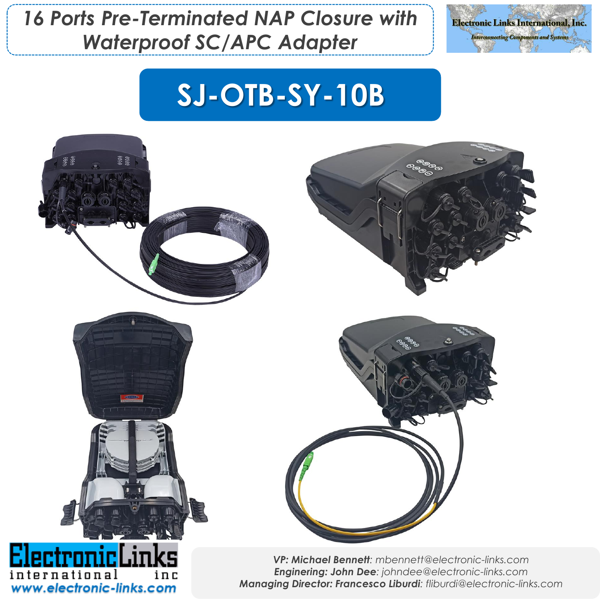*16 Ports Pre-Terminated NAP Closure with Waterproof SC/APC Adapter*



## **SJ-OTB-SY-10B**

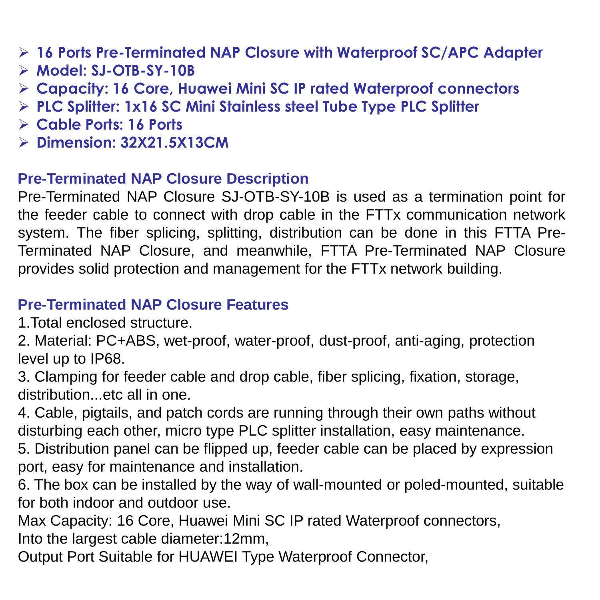- ➢ **16 Ports Pre-Terminated NAP Closure with Waterproof SC/APC Adapter**
- ➢ **Model: SJ-OTB-SY-10B**
- ➢ **Capacity: 16 Core, Huawei Mini SC IP rated Waterproof connectors**
- ➢ **PLC Splitter: 1x16 SC Mini Stainless steel Tube Type PLC Splitter**
- ➢ **Cable Ports: 16 Ports**
- ➢ **Dimension: 32X21.5X13CM**

## **Pre-Terminated NAP Closure Description**

Pre-Terminated NAP Closure SJ-OTB-SY-10B is used as a termination point for the feeder cable to connect with drop cable in the FTTx communication network system. The fiber splicing, splitting, distribution can be done in this FTTA Pre-Terminated NAP Closure, and meanwhile, FTTA Pre-Terminated NAP Closure provides solid protection and management for the FTTx network building.

## **Pre-Terminated NAP Closure Features**

1.Total enclosed structure.

2. Material: PC+ABS, wet-proof, water-proof, dust-proof, anti-aging, protection level up to IP68.

3. Clamping for feeder cable and drop cable, fiber splicing, fixation, storage, distribution...etc all in one.

4. Cable, pigtails, and patch cords are running through their own paths without disturbing each other, micro type PLC splitter installation, easy maintenance.

5. Distribution panel can be flipped up, feeder cable can be placed by expression port, easy for maintenance and installation.

6. The box can be installed by the way of wall-mounted or poled-mounted, suitable for both indoor and outdoor use.

Max Capacity: 16 Core, Huawei Mini SC IP rated Waterproof connectors, Into the largest cable diameter:12mm,

Output Port Suitable for HUAWEI Type Waterproof Connector,